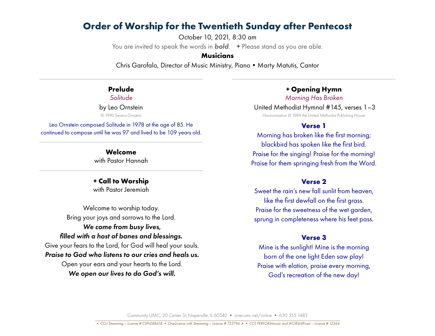# **Order of Worship for the Twentieth Sunday after Pentecost**

October 10, 2021, 8:30 am You are invited to speak the words in *bold*. **+** Please stand as you are able.

#### **Musicians**

Chris Garofalo, Director of Music Ministry, Piano • Marty Matutis, Cantor

#### **Prelude**

*Solitude* by Leo Ornstein

© 1990 Severo Ornstein

Leo Ornstein composed Solitude in 1978 at the age of 85. He continued to compose until he was 97 and lived to be 109 years old.

> **Welcome** with Pastor Hannah

**+ Call to Worship** with Pastor Jeremiah

Welcome to worship today. Bring your joys and sorrows to the Lord. *We come from busy lives, filled with a host of banes and blessings.* Give your fears to the Lord, for God will heal your souls. *Praise to God who listens to our cries and heals us.* Open your ears and your hearts to the Lord.  *We open our lives to do God's will.*

*+* **Opening Hymn**

*Morning Has Broken* United Methodist Hymnal #145, verses 1–3

Harmonization © 1989 the United Methodist Publishing House

#### **Verse 1**

Morning has broken like the first morning; blackbird has spoken like the first bird. Praise for the singing! Praise for the morning! Praise for them springing fresh from the Word.

#### **Verse 2**

Sweet the rain's new fall sunlit from heaven, like the first dewfall on the first grass. Praise for the sweetness of the wet garden, sprung in completeness where his feet pass.

### **Verse 3**

Mine is the sunlight! Mine is the morning born of the one light Eden saw play! Praise with elation, praise every morning, God's recreation of the new day!

Community UMC, 20 Center St, Naperville, IL 60540 • onecumc.net/online • 630 355 1483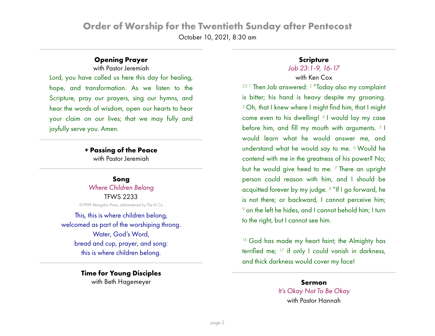# **Order of Worship for the Twentieth Sunday after Pentecost** October 10, 2021, 8:30 am

## **Opening Prayer**

with Pastor Jeremiah

Lord, you have called us here this day for healing, hope, and transformation. As we listen to the Scripture, pray our prayers, sing our hymns, and hear the words of wisdom, open our hearts to hear your claim on our lives; that we may fully and joyfully serve you. Amen.

> **+ Passing of the Peace** with Pastor Jeremiah

**Song** *Where Children Belong* TFWS 2233 ©1999 Abingdon Press, administered by The © Co

This, this is where children belong, welcomed as part of the worshiping throng. Water, God's Word, bread and cup, prayer, and song: this is where children belong.

> **Time for Young Disciples** with Beth Hagemeyer

## **Scripture**

# *Job 23:1-9, 16-17*

## with Ken Cox

23:1 Then Job answered: 2 "Today also my complaint is bitter; his hand is heavy despite my groaning. <sup>3</sup> Oh, that I knew where I might find him, that I might come even to his dwelling! 4 I would lay my case before him, and fill my mouth with arguments.  $51$ would learn what he would answer me, and understand what he would say to me. 6 Would he contend with me in the greatness of his power? No; but he would give heed to me.  $7$  There an upright person could reason with him, and I should be acquitted forever by my judge. 8 "If I go forward, he is not there; or backward, I cannot perceive him; <sup>9</sup> on the left he hides, and I cannot behold him; I turn to the right, but I cannot see him.

<sup>16</sup> God has made my heart faint; the Almighty has terrified me; 17 <sup>i</sup> if only I could vanish in darkness, and thick darkness would cover my face!

# **Sermon** *It's Okay Not To Be Okay* with Pastor Hannah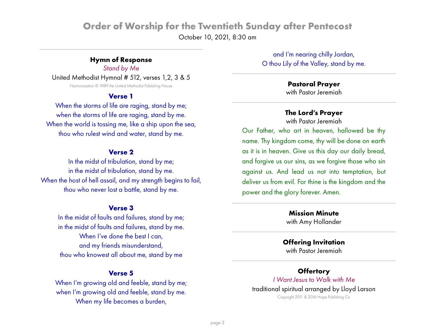# **Order of Worship for the Twentieth Sunday after Pentecost** October 10, 2021, 8:30 am

#### **Hymn of Response**

*Stand by Me* United Methodist Hymnal # 512, verses 1,2, 3 & 5 Harmonization © 1989 the United Methodist Publishing House

#### **Verse 1**

When the storms of life are raging, stand by me; when the storms of life are raging, stand by me. When the world is tossing me, like a ship upon the sea, thou who rulest wind and water, stand by me.

#### **Verse 2**

In the midst of tribulation, stand by me; in the midst of tribulation, stand by me. When the host of hell assail, and my strength begins to fail, thou who never lost a battle, stand by me.

#### **Verse 3**

In the midst of faults and failures, stand by me; in the midst of faults and failures, stand by me. When I've done the best I can, and my friends misunderstand, thou who knowest all about me, stand by me

#### **Verse 5**

When I'm growing old and feeble, stand by me; when I'm growing old and feeble, stand by me. When my life becomes a burden,

and I'm nearing chilly Jordan, O thou Lily of the Valley, stand by me.

#### **Pastoral Prayer** with Pastor Jeremiah

### **The Lord's Prayer**

with Pastor Jeremiah

Our Father, who art in heaven, hallowed be thy name. Thy kingdom come, thy will be done on earth as it is in heaven. Give us this day our daily bread, and forgive us our sins, as we forgive those who sin against us. And lead us not into temptation, but deliver us from evil. For thine is the kingdom and the power and the glory forever. Amen.

> **Mission Minute** with Amy Hollander

## **Offering Invitation**

with Pastor Jeremiah

#### **Offertory**

# *I Want Jesus to Walk with Me* traditional spiritual arranged by Lloyd Larson

Copyright 2011 & 2016 Hope Publishing Co